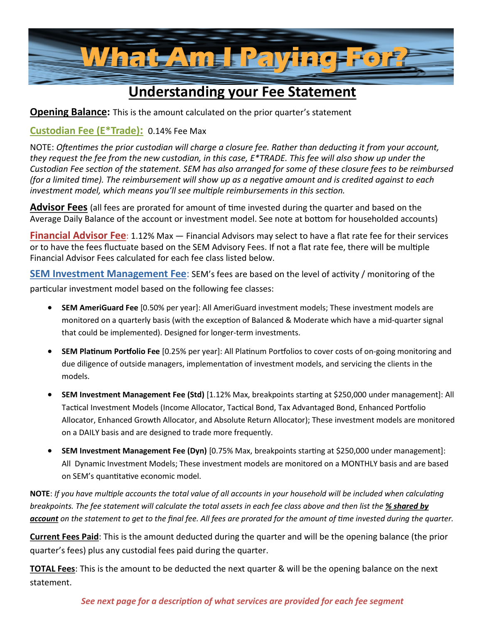

# **Understanding your Fee Statement**

**Opening Balance:** This is the amount calculated on the prior quarter's statement

### **Custodian Fee (E\*Trade):** 0.14% Fee Max

NOTE: *Oftentimes the prior custodian will charge a closure fee. Rather than deducting it from your account, they request the fee from the new custodian, in this case, E\*TRADE. This fee will also show up under the Custodian Fee section of the statement. SEM has also arranged for some of these closure fees to be reimbursed (for a limited time). The reimbursement will show up as a negative amount and is credited against to each investment model, which means you'll see multiple reimbursements in this section.*

**Advisor Fees** (all fees are prorated for amount of time invested during the quarter and based on the Average Daily Balance of the account or investment model. See note at bottom for householded accounts)

**Financial Advisor Fee**: 1.12% Max — Financial Advisors may select to have a flat rate fee for their services or to have the fees fluctuate based on the SEM Advisory Fees. If not a flat rate fee, there will be multiple Financial Advisor Fees calculated for each fee class listed below.

**SEM Investment Management Fee**: SEM's fees are based on the level of activity / monitoring of the particular investment model based on the following fee classes:

- **SEM AmeriGuard Fee** [0.50% per year]: All AmeriGuard investment models; These investment models are monitored on a quarterly basis (with the exception of Balanced & Moderate which have a mid-quarter signal that could be implemented). Designed for longer-term investments.
- **SEM Platinum Portfolio Fee** [0.25% per year]: All Platinum Portfolios to cover costs of on-going monitoring and due diligence of outside managers, implementation of investment models, and servicing the clients in the models.
- **SEM Investment Management Fee (Std)** [1.12% Max, breakpoints starting at \$250,000 under management]: All Tactical Investment Models (Income Allocator, Tactical Bond, Tax Advantaged Bond, Enhanced Portfolio Allocator, Enhanced Growth Allocator, and Absolute Return Allocator); These investment models are monitored on a DAILY basis and are designed to trade more frequently.
- **SEM Investment Management Fee (Dyn)** [0.75% Max, breakpoints starting at \$250,000 under management]: All Dynamic Investment Models; These investment models are monitored on a MONTHLY basis and are based on SEM's quantitative economic model.

**NOTE**: *If you have multiple accounts the total value of all accounts in your household will be included when calculating breakpoints. The fee statement will calculate the total assets in each fee class above and then list the % shared by account on the statement to get to the final fee. All fees are prorated for the amount of time invested during the quarter.*

**Current Fees Paid**: This is the amount deducted during the quarter and will be the opening balance (the prior quarter's fees) plus any custodial fees paid during the quarter.

**TOTAL Fees**: This is the amount to be deducted the next quarter & will be the opening balance on the next statement.

### *See next page for a description of what services are provided for each fee segment*